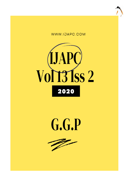





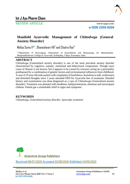

REVIEW ARTICLE www.ijapc.com

**e-ISSN 2350-0204**

# **Manifold Ayurvedic Management of** *Chittodvega* **(General Anxiety Disorder)**

Mallya Suma V $^{1\ast}$ , Dhaneshwari HA $^{2}$  and Chiatra Rao $^{3}$ 

<sup>1-3</sup>Department of Dravyaguna, Department of Kayachikitsa and Manasaroga, Sri Dharmasthala Manjunatheshwara College of Ayurveda, Kuthapday, Udupi, Karnataka, India

# **ABSTRACT**

*Chittodvega* (Generalised anxiety disorder) is one of the most prevalent anxiety disorder characterized by cognitive, somatic, emotional and behavioural components. Though exact cause of disease is not known, but it appears to be caused by stressors acting on a personality predisposed by a combination of genetic factors and environmental influences from childhood. A case of 19 year old male patient with complaints of fearfulness, hesitation to talk, restlessness and disturbed thoughts since 3 years attended OPD for Ayurveda line of treatment. Detailed history and examination was done diagnosed as a case of *Chittodwega* (Generalized anxiety disorder). Treatment was planned with *shodhana, bahiparimarjana, shamana* and *stavavajaya chikitsa*. Patient got a remarkable relief in signs and symptoms.

# **KEYWORDS**

*Chittodvega, Generalised anxiety disorder, Ayurveda, treatment*



Received 06/07/2020 Accepted 05/08/2020 Published 10/09/2020

\_\_\_\_\_\_\_\_\_\_\_\_\_\_\_\_\_\_\_\_\_\_\_\_\_\_\_\_\_\_\_\_\_\_\_\_\_\_\_\_\_\_\_\_\_\_\_\_\_\_\_\_\_\_\_\_\_\_\_\_\_\_\_\_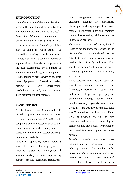

# **INTRODUCTION**

*Chittodvega* is one of the *Manasika vikara* where affliction of mind by anxiety, fear and agitation are predominant features $1-2$ . *Anavasthita chittata* has been mentioned as one of the *vataja nanatmaja vikara* which is the main feature of *Chittodvega*<sup>3</sup> . It is a state of mind in which features of Generalized Anxiety Disorder are seen<sup>4</sup>. Anxiety is defined as a subjective feeling of apprehension or fear about the present or the past accompanied by a number of autonomic or somatic signs and symptoms<sup>5</sup>. It is the feeling of distress with no adequate cause. Symptoms of Generalised anxiety disorder are worry, apprehension, psychological arousal, muscle tension, sleep disturbances, restlessness<sup>6</sup>.

# **CASE REPORT**

A patient named xxx, 19 years old male visited outpatient department of SDM Hospital, Udupi on date 27/01/2020 with complaints of fearfulness, hesitation to talk, restlessness and disturbed thoughts since 3 years. He said to have excessive sweating, tremors and headache.

Patient was apparently normal before 3 years. He started observing symptoms when he was studying at college for 11<sup>th</sup> standard. Initially he started experiencing sudden fear and occasional restlessness.

 $\mathcal{L}_\mathcal{L}$  , and the contribution of the contribution of the contribution of the contribution of the contribution of the contribution of the contribution of the contribution of the contribution of the contribution of

Later it exaggerated to restlessness and disturbing thoughts. He experienced claustrophobia (being trapped in a closed room). Other physical signs and symptoms were profuse sweating, palpitation, tremors in hands and headache.

There was no history of shock, familial issues as per the knowledge of patient and his attendant in his childhood. As per patient attendant (father), patient was not used to be a friendly and never liked socializing or going out to play. History of crime, legal punishment, suicidal tendency were absent.

As per personal history he was vegetarian, appetite was normal, but used to get flatulence, micturition was regular, with undisturbed sleep. As per physical examination findings pallor, icterus, lymphadenopathy, cyanosis were absent. Blood pressure was 110/80/mm Hg, pulse was 72/min, with normal heart rate. 16/min. CNS examination showed, he was conscious and oriented. Heamatological parameters like blood sugar, liver function tests, renal functions, thyroid tests were normal.

*Manaha pareeksha*<sup>7</sup> was done, where *manonigraha* was occasionally absent. Other parameters like *Buddhi, Ooha, indriya nigraha*, orientation of time place, person was intact. *Sheela vibhrama*<sup>8</sup> features like restlessness, hesitation, scary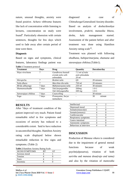

nature, unusual thoughts, anxiety were found positive. *Achara vibhrama* features like lack of concentration while listening to lectures, concentration on study were found<sup>9</sup>. Particularly obsession with certain sentences, thoughts for few days which used to fade away after certain period of time were there.

#### **Diagnosis**

Based on signs and symptoms, clinical features, laboratory findings patient was

|  |  | <b>Table 1 Treatment protocol</b> |  |
|--|--|-----------------------------------|--|
|--|--|-----------------------------------|--|

diagnosed as case of *Chittodwega*/Generalised Anxiety disorder. Based on analysis of *dosha/dooshya* involvement, *prakriti, manasika bhava, desha, kala* management started. Assessment of the patient before and after treatment was done using Hamilton Anxiety rating scale $^{10}$ .

Treatment was planned with following *shodhana, bahiparimarjana, shamana* and *stavavajaya chikitsa.*(Table1).

| <b>Treatment</b>     | Days   | Drug                                                | Quantity                                    | Duration/day |
|----------------------|--------|-----------------------------------------------------|---------------------------------------------|--------------|
| Nitya virechana      |        | Gandhrava hastadi<br>erenda taila with<br>ushnodaka | 7.5 ml of tiala<br>and ushnodaka<br>$20$ ml |              |
| Shiropichu           | 7      | Brahmi taila                                        | QS                                          | 20 minutes   |
| Taila dhara          |        | Murchita tila taila                                 | 750 ml                                      | 20 minutes   |
| Mridu abhyanga       | 7 days | Mahanarayana taila                                  | $250$ ml                                    | 30 minutes   |
| Shamanoushadhi       | 7 days | Tab, Sarpagandha                                    | 500 <sub>mg</sub>                           | $1 - 0 - 1$  |
|                      |        | Tab Ashwagandha                                     | 500 mg                                      | $1 - 0 - 1$  |
| Satvavajaya chikitsa | 7 days | Councelling                                         |                                             | 30 minute    |
| Yoga                 | 7 days | Pranayama, Surya<br>namaskara                       |                                             | minute<br>30 |

 $\mathcal{L}_\mathcal{L}$  , and the contribution of the contribution of the contribution of the contribution of the contribution of the contribution of the contribution of the contribution of the contribution of the contribution of

### **RESULTS**

After 7days of treatment condition of the patient improved very much. Patient found remarkable relief in few symptoms and occasions of anxiety has reduced to a considerable extent. Said to have reduction in uncontrolled thoughts. Hamilton Anxiety rating scale displayed below shown remarkable reduction in few signs and symptoms. (Table 2)

| Table 2 Hamilton Anxiety Rating Scale |  |  |  |
|---------------------------------------|--|--|--|
|---------------------------------------|--|--|--|

| SIGNS/SYMPTOMS |  |  |
|----------------|--|--|
| Anxious mood   |  |  |
| Tension        |  |  |
| Fears          |  |  |
| Insomnia       |  |  |
|                |  |  |

| Intellectual           |  |  |
|------------------------|--|--|
| Depressed mood         |  |  |
| Somatic(muscular)      |  |  |
| Somatic (sensory)      |  |  |
| Cardiovascular         |  |  |
| Respiratory symptoms   |  |  |
| Gastro intestinal      |  |  |
| Autonomic symptoms     |  |  |
| Behaviour at interview |  |  |

# **DISCUSSION**

Production of *Manasa vikara* is considered due to the impairment of general mental functions because of weak psyche(*alpasatva)*, vitiation of both *saririka* and *manasa dosa(rajo and tama)* and also by the vitiation of *manovaha*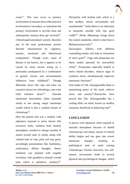

*srotas*<sup>11</sup>. This may occur as primary involvement of *manasa dosa* while physical involvement is secondary, or sometimes the primary involvement is *saririka dosa* and subsequently *manasa dosa* get involved<sup>12</sup>. *Chittodvega*(Generalised anxiety disorder) one of the most predominant anxiety disorder characterized by cognitive, somatic, emotional and behavioural components<sup>2</sup>. Though exact cause of disease is not known, but it appears to be caused by stress factors acting on a personality predisposed by a combination of genetic factors and environmental influences from childhood<sup>13</sup>. Though *Manasika dosas* like *raja* and *tama* are causative factors for *chittodvega*, *vata* is the chief initiative factor<sup>14</sup>. . *Charaka* mentioned *Anavasthita chitta* (unstable mind) as one among *vataja nanatmaja vyadhi* which is also a cardinal feature of *chittodvega*<sup>15</sup> .

Here the patient who was a student, with *alpasatva* exposed to stress factors like excessive study, isolation from homely atmosphere, resulted in *udvega avastha* of *manas* (exited state of mind), along with vitiated state of *vata, pitta and rajo guna*; accordingly presentations like fearfulness, restlessness, diffuse thoughts. Hence treatment was planned with *snigdha virechana* with *gandharva hastadi eranda tiala* which is *pittahara, vatahara*<sup>16</sup> . *Shiropichu* with *brahmi taila* which is a best *medhya, sheeta veeryatmaka* and *vatashamaka*<sup>17</sup> .*Taila dhara* is an indication in *manasika vayadhi* with *rajo guna vrddhi*<sup>18</sup> . *Mridu Abhyanaga* brings down the control *vatadosha*, which is done here is *Mahanarayana taila*<sup>19</sup> .

*Satvavajaya chikitsa* with different counselling modes will help in restoration of *satva guna*<sup>20</sup>. Yoga and pranayama are finest modes operandi for *anavasthita chitta*<sup>21</sup> . *Pranayama* especially helpful in stress related disorders, reduces signs of oxidative stress, simultaneously improves autonomic functions<sup>22</sup>.

Oral intake of Tab. *Sarpaganadha* helps in maintaining peace of the mind, relieves stress and anxiety<sup>23</sup>.Researches have proved that Tab. *Ashwaganadha* has a cooling effect on mind, known as *medhya*  rasayana, beneficial in balancing vata<sup>24</sup>.

# **CONCLUSION**

 $\mathcal{L}_\mathcal{L}$  , and the contribution of the contribution of the contribution of the contribution of the contribution of the contribution of the contribution of the contribution of the contribution of the contribution of

A person with *alpasatva* when exposed to stressful atmosphere because of *doshik vitiation(raja and tama)*, misuse of mental ability begins and one goes into severe emotional changes, resulting in pathological state of mind causing *Chittodwega*. Chronic insecurity, low selfesteem, nervousness leads to several physical and psychological changes, which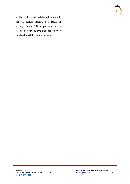

will be further mediated through autonomic nervous system leading to a stress or anxiety disorder<sup>25</sup>. These particular set of treatment with counselling can give a reliable benefit in the above patient.

 $\mathcal{L}_\mathcal{L}$  , and the contribution of the contribution of the contribution of the contribution of the contribution of the contribution of the contribution of the contribution of the contribution of the contribution of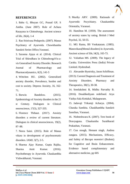

### **REFERENCES**

1. Babu G, Bhuyan GC, Prasad GP, S Anitha. (June 2007). Role of Achara Rasayana in Chittodwega. Ancient science of life, 26(4), 1-4

2. Rao Srinivasa Pedaprolu. (2007). Manas Psychiatry of Ayurveda. Chowkhamba Sanskrit Series Office,Varanasi.

3. Saxsena Ajaya et al. (2014). Clinical Trial of Shirodhara in ChittodwegaVis-avis Generalised Anxiety Disorder. Research Journal of Pharmacology and Pharmacodynamics, 6(3), 141-5

4. Wittchen HU. (2002). Generalised anxiety disorder, Prevalence, burden and cost to society. Depress Anxiety, 16, 162- 71.

5. Borwin Bandelow. (2015). Epidemiology of Anxiety disoders in the 21 st Century. Dialogues in Clinical neuroscience, 17(3), 327-335.

6. Florence Thibaut. (2017). Anxiety disorders a review of current literature. Dialogues in clinical neurosciences, 19(2), 87–88.

7. Neera Saini. (2015). Role of Manas vikara in development of psychosomatic disorders. IAMJ, 3(7), 2-5.

8. Sharma Ajay Kumar, Gupta Rajika, Sharma Amit Kumar. (2016). Psychotherapy in Ayurveda. Chaukambha Vishwabharati, Varanasi.

 $\mathcal{L}_\mathcal{L}$  , and the contribution of the contribution of the contribution of the contribution of the contribution of the contribution of the contribution of the contribution of the contribution of the contribution of

9. Murthy ARV. (2009). Rationale of Ayurvedic Pscychiatry. Chaukambha Orientalia, Varanasi.

10. Hamilton M. (1959). The assessment of anxiety states by rating. British J Med Psychol, 32, 50-55.

11. MG Ramu, BS Venkataram. (1985). Manovikara(Mental disoders) in Ayurveda. Ancient science of life, l4(3), 165-73.

12. Valiathan MS. (2009). The legacy of Caraka. Universities Press (India) Private Limited. Hyderabad.

13. Alexander Bystrisky, Jason Schiffman. (2013). Current Diagnosis and Treatment of Anxiety Disorders. Pharmacy and Therapeutics, 38(1), 30-38.

14. Sreelakshmi B, Midhu Parvathy B. (2016). Dosabhediyam redefined. Arya Vaidya Sala Kottakal, Malappuram.

15. Jadavaji Trikamji Acharya. (2004). Charaka Samhita. Chaukhambha Sanskrit Sansthan, Varanasi.

16. Nishteshwara K. (2007). Text book of Dravyaguna. Chaukamba Surabharati Prakashan, Varanasi.

17. Con stough, Hemant singh, Andrea zangara. (2015). Mechanisms, Efficacy, and Safety of *Bacopa monnieri* (Brahmi) for Cognitive and Brain Enhancement. Evidence based complimentary and alternative medicine, pp 605